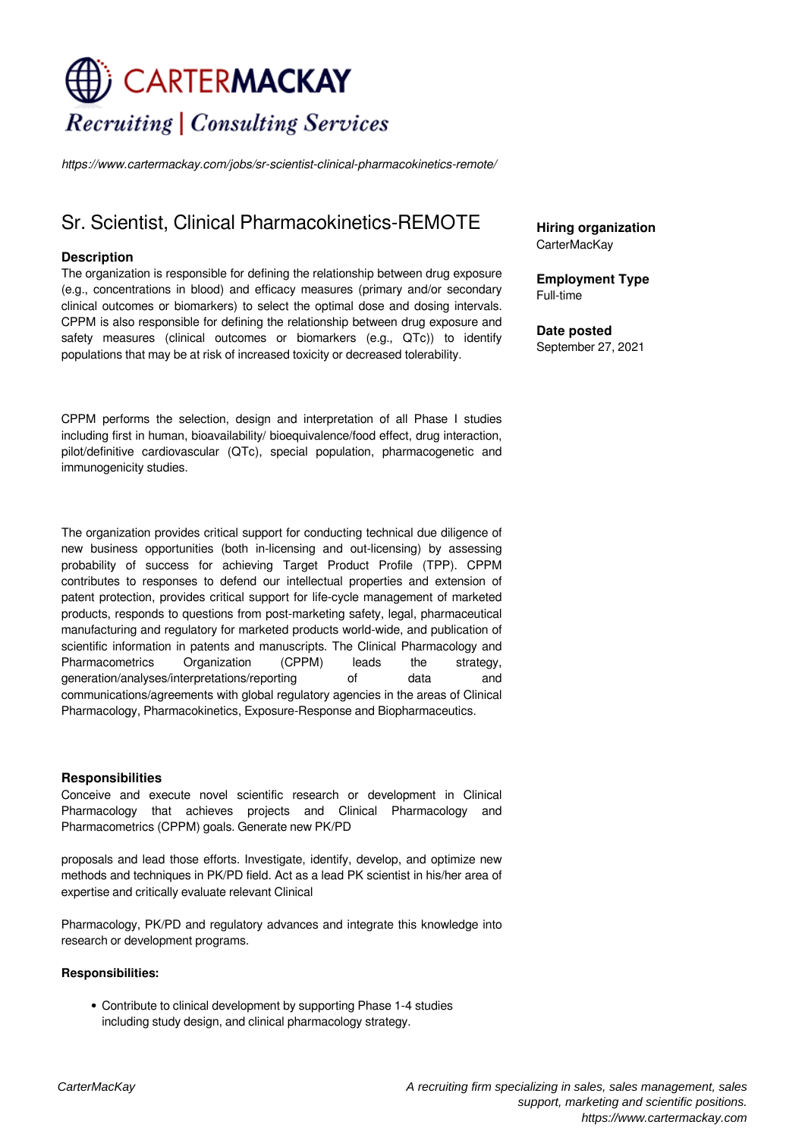# CARTERMACKAY **Recruiting | Consulting Services**

*https://www.cartermackay.com/jobs/sr-scientist-clinical-pharmacokinetics-remote/*

## Sr. Scientist, Clinical Pharmacokinetics-REMOTE

#### **Description**

The organization is responsible for defining the relationship between drug exposure (e.g., concentrations in blood) and efficacy measures (primary and/or secondary clinical outcomes or biomarkers) to select the optimal dose and dosing intervals. CPPM is also responsible for defining the relationship between drug exposure and safety measures (clinical outcomes or biomarkers (e.g., QTc)) to identify populations that may be at risk of increased toxicity or decreased tolerability.

CPPM performs the selection, design and interpretation of all Phase I studies including first in human, bioavailability/ bioequivalence/food effect, drug interaction, pilot/definitive cardiovascular (QTc), special population, pharmacogenetic and immunogenicity studies.

The organization provides critical support for conducting technical due diligence of new business opportunities (both in-licensing and out-licensing) by assessing probability of success for achieving Target Product Profile (TPP). CPPM contributes to responses to defend our intellectual properties and extension of patent protection, provides critical support for life-cycle management of marketed products, responds to questions from post-marketing safety, legal, pharmaceutical manufacturing and regulatory for marketed products world-wide, and publication of scientific information in patents and manuscripts. The Clinical Pharmacology and Pharmacometrics Organization (CPPM) leads the strategy, generation/analyses/interpretations/reporting of data and communications/agreements with global regulatory agencies in the areas of Clinical Pharmacology, Pharmacokinetics, Exposure-Response and Biopharmaceutics.

#### **Responsibilities**

Conceive and execute novel scientific research or development in Clinical Pharmacology that achieves projects and Clinical Pharmacology and Pharmacometrics (CPPM) goals. Generate new PK/PD

proposals and lead those efforts. Investigate, identify, develop, and optimize new methods and techniques in PK/PD field. Act as a lead PK scientist in his/her area of expertise and critically evaluate relevant Clinical

Pharmacology, PK/PD and regulatory advances and integrate this knowledge into research or development programs.

#### **Responsibilities:**

Contribute to clinical development by supporting Phase 1-4 studies including study design, and clinical pharmacology strategy.

**Hiring organization** CarterMacKay

**Employment Type** Full-time

**Date posted** September 27, 2021